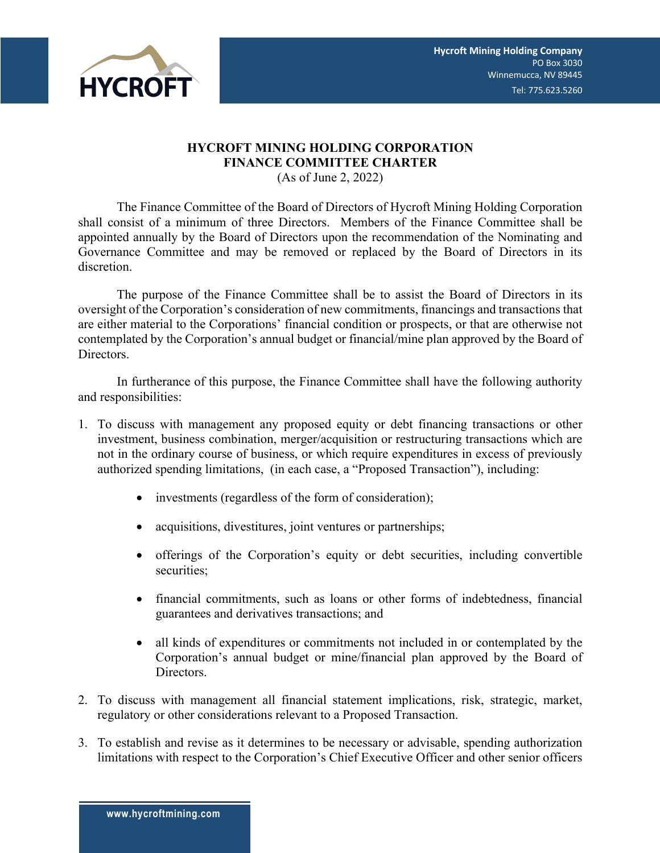

## **HYCROFT MINING HOLDING CORPORATION FINANCE COMMITTEE CHARTER**

(As of June 2, 2022)

The Finance Committee of the Board of Directors of Hycroft Mining Holding Corporation shall consist of a minimum of three Directors. Members of the Finance Committee shall be appointed annually by the Board of Directors upon the recommendation of the Nominating and Governance Committee and may be removed or replaced by the Board of Directors in its discretion.

The purpose of the Finance Committee shall be to assist the Board of Directors in its oversight of the Corporation's consideration of new commitments, financings and transactions that are either material to the Corporations' financial condition or prospects, or that are otherwise not contemplated by the Corporation's annual budget or financial/mine plan approved by the Board of Directors.

In furtherance of this purpose, the Finance Committee shall have the following authority and responsibilities:

- 1. To discuss with management any proposed equity or debt financing transactions or other investment, business combination, merger/acquisition or restructuring transactions which are not in the ordinary course of business, or which require expenditures in excess of previously authorized spending limitations, (in each case, a "Proposed Transaction"), including:
	- investments (regardless of the form of consideration);
	- acquisitions, divestitures, joint ventures or partnerships;
	- offerings of the Corporation's equity or debt securities, including convertible securities;
	- financial commitments, such as loans or other forms of indebtedness, financial guarantees and derivatives transactions; and
	- all kinds of expenditures or commitments not included in or contemplated by the Corporation's annual budget or mine/financial plan approved by the Board of Directors.
- 2. To discuss with management all financial statement implications, risk, strategic, market, regulatory or other considerations relevant to a Proposed Transaction.
- 3. To establish and revise as it determines to be necessary or advisable, spending authorization limitations with respect to the Corporation's Chief Executive Officer and other senior officers